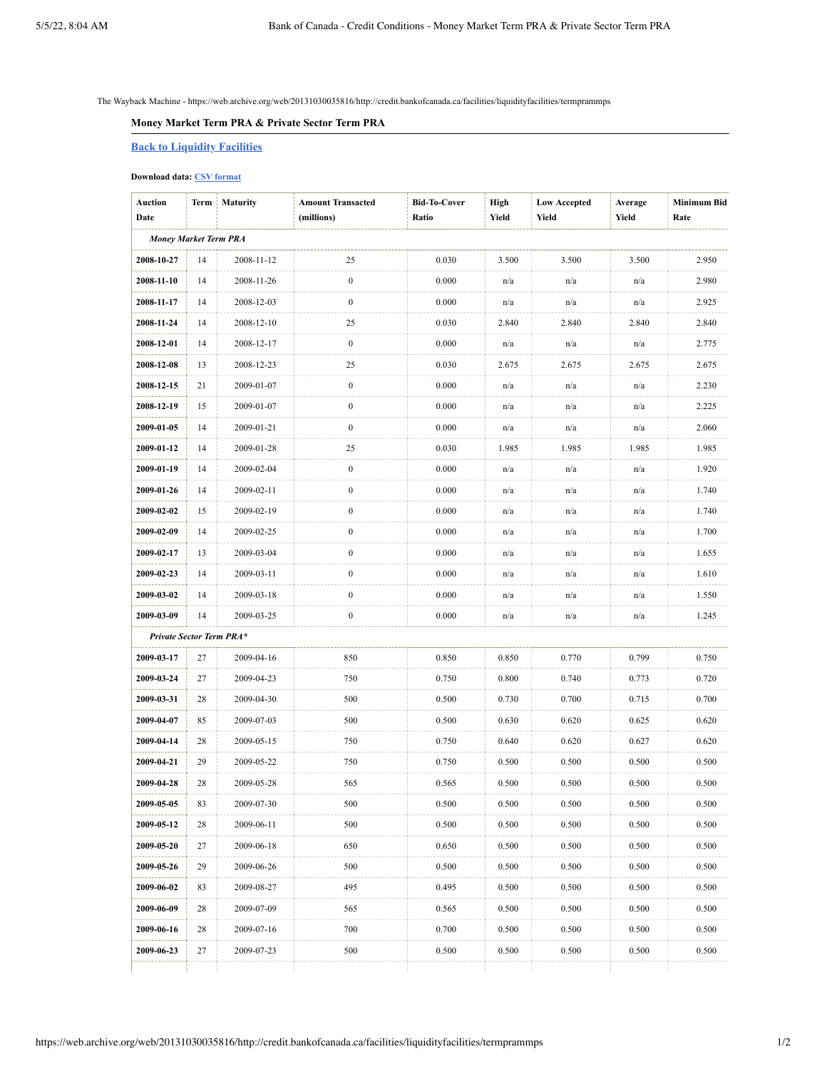The Wayback Machine - https://web.archive.org/web/20131030035816/http://credit.bankofcanada.ca/facilities/liquidityfacilities/termprammps

## **Money Market Term PRA & Private Sector Term PRA**

## **Back to [Liquidity](https://web.archive.org/web/20131030035816/http://credit.bankofcanada.ca/facilities/liquidityfacilities) Facilities**

## **Download data: CSV [format](https://web.archive.org/web/20131030035816/http://credit.bankofcanada.ca/csv?lang=en&service=getMoneyMarketTermPRACSV)**

| <b>Auction</b><br>Date       | Term | Maturity   | <b>Amount Transacted</b><br>(millions) | <b>Bid-To-Cover</b><br>Ratio | High<br>Yield | <b>Low Accepted</b><br>Yield | Average<br>Yield | Minimum Bid<br>Rate |
|------------------------------|------|------------|----------------------------------------|------------------------------|---------------|------------------------------|------------------|---------------------|
| <b>Money Market Term PRA</b> |      |            |                                        |                              |               |                              |                  |                     |
| 2008-10-27                   | 14   | 2008-11-12 | 25                                     | 0.030                        | 3.500         | 3.500                        | 3.500            | 2.950               |
| 2008-11-10                   | 14   | 2008-11-26 | $\boldsymbol{0}$                       | 0.000                        | n/a           | n/a                          | n/a              | 2.980               |
| 2008-11-17                   | 14   | 2008-12-03 | $\boldsymbol{0}$                       | 0.000                        | n/a           | n/a                          | n/a              | 2.925               |
| 2008-11-24                   | 14   | 2008-12-10 | 25                                     | 0.030                        | 2.840         | 2.840                        | 2.840            | 2.840               |
| 2008-12-01                   | 14   | 2008-12-17 | $\boldsymbol{0}$                       | 0.000                        | n/a           | n/a                          | n/a              | 2.775               |
| 2008-12-08                   | 13   | 2008-12-23 | 25                                     | 0.030                        | 2.675         | 2.675                        | 2.675            | 2.675               |
| 2008-12-15                   | 21   | 2009-01-07 | $\boldsymbol{0}$                       | 0.000                        | n/a           | n/a                          | n/a              | 2.230               |
| 2008-12-19                   | 15   | 2009-01-07 | $\boldsymbol{0}$                       | 0.000                        | n/a           | n/a                          | n/a              | 2.225               |
| 2009-01-05                   | 14   | 2009-01-21 | $\boldsymbol{0}$                       | 0.000                        | n/a           | n/a                          | n/a              | 2.060               |
| 2009-01-12                   | 14   | 2009-01-28 | 25                                     | 0.030                        | 1.985         | 1.985                        | 1.985            | 1.985               |
| 2009-01-19                   | 14   | 2009-02-04 | $\boldsymbol{0}$                       | 0.000                        | n/a           | n/a                          | n/a              | 1.920               |
| 2009-01-26                   | 14   | 2009-02-11 | $\boldsymbol{0}$                       | 0.000                        | n/a           | n/a                          | n/a              | 1.740               |
| 2009-02-02                   | 15   | 2009-02-19 | $\boldsymbol{0}$                       | 0.000                        | n/a           | n/a                          | n/a              | 1.740               |
| 2009-02-09                   | 14   | 2009-02-25 | $\boldsymbol{0}$                       | 0.000                        | n/a           | n/a                          | n/a              | 1.700               |
| 2009-02-17                   | 13   | 2009-03-04 | $\boldsymbol{0}$                       | 0.000                        | n/a           | n/a                          | n/a              | 1.655               |
| 2009-02-23                   | 14   | 2009-03-11 | $\boldsymbol{0}$                       | 0.000                        | n/a           | n/a                          | n/a              | 1.610               |
| 2009-03-02                   | 14   | 2009-03-18 | $\boldsymbol{0}$                       | 0.000                        | n/a           | n/a                          | n/a              | 1.550               |
| 2009-03-09                   | 14   | 2009-03-25 | $\boldsymbol{0}$                       | 0.000                        | n/a           | n/a                          | n/a              | 1.245               |
| Private Sector Term PRA*     |      |            |                                        |                              |               |                              |                  |                     |
| 2009-03-17                   | 27   | 2009-04-16 | 850                                    | 0.850                        | 0.850         | 0.770                        | 0.799            | 0.750               |
| 2009-03-24                   | 27   | 2009-04-23 | 750                                    | 0.750                        | 0.800         | 0.740                        | 0.773            | 0.720               |
| 2009-03-31                   | 28   | 2009-04-30 | 500                                    | 0.500                        | 0.730         | 0.700                        | 0.715            | 0.700               |
| 2009-04-07                   | 85   | 2009-07-03 | 500                                    | 0.500                        | 0.630         | 0.620                        | 0.625            | 0.620               |
| 2009-04-14                   | 28   | 2009-05-15 | 750                                    | 0.750                        | 0.640         | 0.620                        | 0.627            | 0.620               |
| 2009-04-21                   | 29   | 2009-05-22 | 750                                    | 0.750                        | 0.500         | 0.500                        | 0.500            | 0.500               |
| 2009-04-28                   | 28   | 2009-05-28 | 565                                    | 0.565                        | 0.500         | 0.500                        | 0.500            | 0.500               |
| 2009-05-05                   | 83   | 2009-07-30 | 500                                    | 0.500                        | 0.500         | 0.500                        | 0.500            | 0.500               |
| 2009-05-12                   | 28   | 2009-06-11 | 500                                    | 0.500                        | 0.500         | 0.500                        | 0.500            | 0.500               |
| 2009-05-20                   | 27   | 2009-06-18 | 650                                    | 0.650                        | 0.500         | 0.500                        | 0.500            | 0.500               |
| 2009-05-26                   | 29   | 2009-06-26 | 500                                    | 0.500                        | 0.500         | 0.500                        | 0.500            | 0.500               |
| 2009-06-02                   | 83   | 2009-08-27 | 495                                    | 0.495                        | 0.500         | 0.500                        | 0.500            | 0.500               |
| 2009-06-09                   | 28   | 2009-07-09 | 565                                    | 0.565                        | 0.500         | 0.500                        | 0.500            | 0.500               |
| 2009-06-16                   | 28   | 2009-07-16 | 700                                    | 0.700                        | 0.500         | 0.500                        | 0.500            | 0.500               |
| 2009-06-23                   | 27   | 2009-07-23 | 500                                    | 0.500                        | 0.500         | 0.500                        | 0.500            | 0.500               |